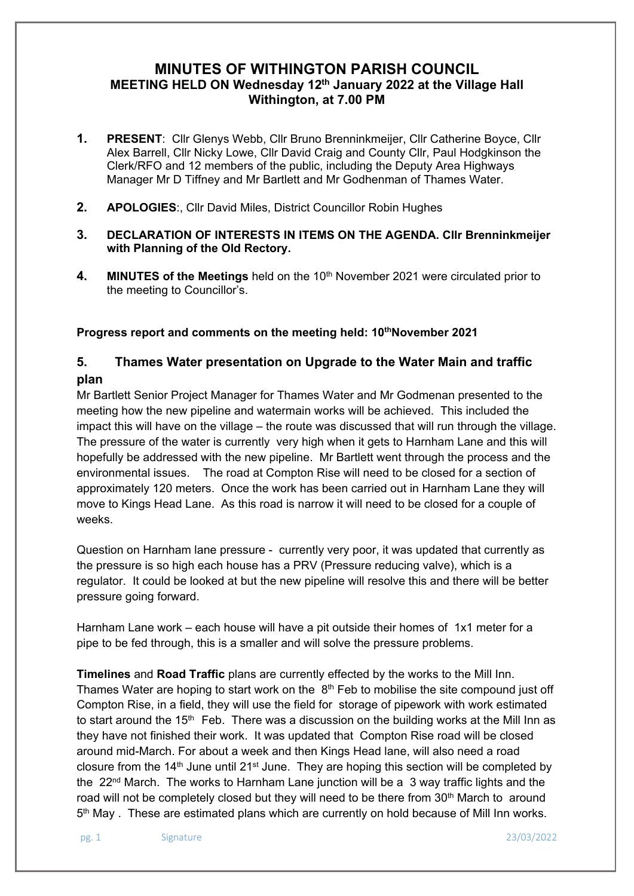# **MINUTES OF WITHINGTON PARISH COUNCIL MEETING HELD ON Wednesday 12th January 2022 at the Village Hall Withington, at 7.00 PM**

- **1. PRESENT**: Cllr Glenys Webb, Cllr Bruno Brenninkmeijer, Cllr Catherine Boyce, Cllr Alex Barrell, Cllr Nicky Lowe, Cllr David Craig and County Cllr, Paul Hodgkinson the Clerk/RFO and 12 members of the public, including the Deputy Area Highways Manager Mr D Tiffney and Mr Bartlett and Mr Godhenman of Thames Water.
- **2. APOLOGIES**:, Cllr David Miles, District Councillor Robin Hughes
- **3. DECLARATION OF INTERESTS IN ITEMS ON THE AGENDA. Cllr Brenninkmeijer with Planning of the Old Rectory.**
- **4. MINUTES of the Meetings** held on the 10th November 2021 were circulated prior to the meeting to Councillor's.

Progress report and comments on the meeting held: 10<sup>th</sup>November 2021

# **5. Thames Water presentation on Upgrade to the Water Main and traffic plan**

Mr Bartlett Senior Project Manager for Thames Water and Mr Godmenan presented to the meeting how the new pipeline and watermain works will be achieved. This included the impact this will have on the village – the route was discussed that will run through the village. The pressure of the water is currently very high when it gets to Harnham Lane and this will hopefully be addressed with the new pipeline. Mr Bartlett went through the process and the environmental issues. The road at Compton Rise will need to be closed for a section of approximately 120 meters. Once the work has been carried out in Harnham Lane they will move to Kings Head Lane. As this road is narrow it will need to be closed for a couple of weeks.

Question on Harnham lane pressure - currently very poor, it was updated that currently as the pressure is so high each house has a PRV (Pressure reducing valve), which is a regulator. It could be looked at but the new pipeline will resolve this and there will be better pressure going forward.

Harnham Lane work – each house will have a pit outside their homes of 1x1 meter for a pipe to be fed through, this is a smaller and will solve the pressure problems.

**Timelines** and **Road Traffic** plans are currently effected by the works to the Mill Inn. Thames Water are hoping to start work on the  $8<sup>th</sup>$  Feb to mobilise the site compound just off Compton Rise, in a field, they will use the field for storage of pipework with work estimated to start around the 15<sup>th</sup> Feb. There was a discussion on the building works at the Mill Inn as they have not finished their work. It was updated that Compton Rise road will be closed around mid-March. For about a week and then Kings Head lane, will also need a road closure from the  $14<sup>th</sup>$  June until 21<sup>st</sup> June. They are hoping this section will be completed by the  $22<sup>nd</sup>$  March. The works to Harnham Lane junction will be a 3 way traffic lights and the road will not be completely closed but they will need to be there from 30<sup>th</sup> March to around 5th May . These are estimated plans which are currently on hold because of Mill Inn works.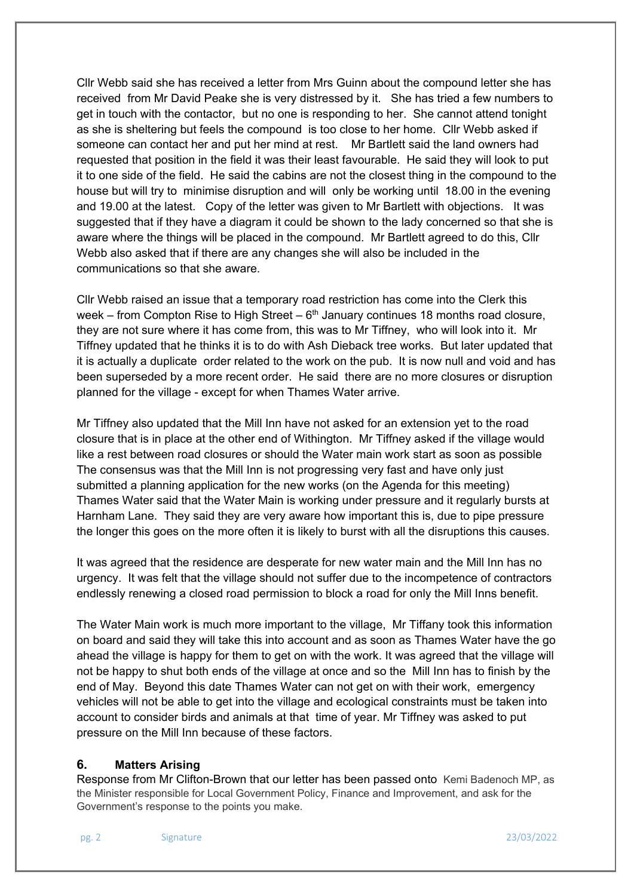Cllr Webb said she has received a letter from Mrs Guinn about the compound letter she has received from Mr David Peake she is very distressed by it. She has tried a few numbers to get in touch with the contactor, but no one is responding to her. She cannot attend tonight as she is sheltering but feels the compound is too close to her home. Cllr Webb asked if someone can contact her and put her mind at rest. Mr Bartlett said the land owners had requested that position in the field it was their least favourable. He said they will look to put it to one side of the field. He said the cabins are not the closest thing in the compound to the house but will try to minimise disruption and will only be working until 18.00 in the evening and 19.00 at the latest. Copy of the letter was given to Mr Bartlett with objections. It was suggested that if they have a diagram it could be shown to the lady concerned so that she is aware where the things will be placed in the compound. Mr Bartlett agreed to do this, Cllr Webb also asked that if there are any changes she will also be included in the communications so that she aware.

Cllr Webb raised an issue that a temporary road restriction has come into the Clerk this week – from Compton Rise to High Street –  $6<sup>th</sup>$  January continues 18 months road closure, they are not sure where it has come from, this was to Mr Tiffney, who will look into it. Mr Tiffney updated that he thinks it is to do with Ash Dieback tree works. But later updated that it is actually a duplicate order related to the work on the pub. It is now null and void and has been superseded by a more recent order. He said there are no more closures or disruption planned for the village - except for when Thames Water arrive.

Mr Tiffney also updated that the Mill Inn have not asked for an extension yet to the road closure that is in place at the other end of Withington. Mr Tiffney asked if the village would like a rest between road closures or should the Water main work start as soon as possible The consensus was that the Mill Inn is not progressing very fast and have only just submitted a planning application for the new works (on the Agenda for this meeting) Thames Water said that the Water Main is working under pressure and it regularly bursts at Harnham Lane. They said they are very aware how important this is, due to pipe pressure the longer this goes on the more often it is likely to burst with all the disruptions this causes.

It was agreed that the residence are desperate for new water main and the Mill Inn has no urgency. It was felt that the village should not suffer due to the incompetence of contractors endlessly renewing a closed road permission to block a road for only the Mill Inns benefit.

The Water Main work is much more important to the village, Mr Tiffany took this information on board and said they will take this into account and as soon as Thames Water have the go ahead the village is happy for them to get on with the work. It was agreed that the village will not be happy to shut both ends of the village at once and so the Mill Inn has to finish by the end of May. Beyond this date Thames Water can not get on with their work, emergency vehicles will not be able to get into the village and ecological constraints must be taken into account to consider birds and animals at that time of year. Mr Tiffney was asked to put pressure on the Mill Inn because of these factors.

#### **6. Matters Arising**

Response from Mr Clifton-Brown that our letter has been passed onto Kemi Badenoch MP, as the Minister responsible for Local Government Policy, Finance and Improvement, and ask for the Government's response to the points you make.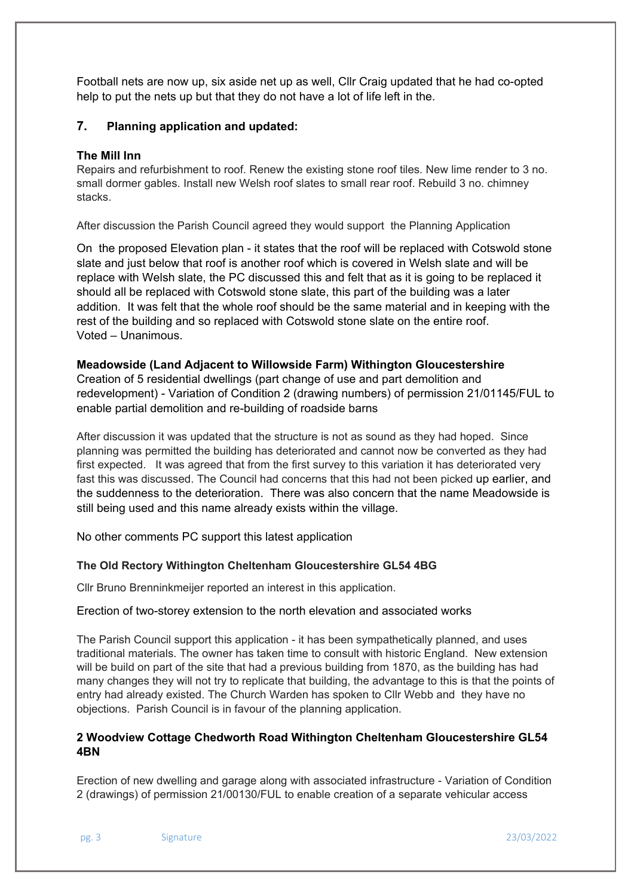Football nets are now up, six aside net up as well, Cllr Craig updated that he had co-opted help to put the nets up but that they do not have a lot of life left in the.

### **7. Planning application and updated:**

#### **The Mill Inn**

Repairs and refurbishment to roof. Renew the existing stone roof tiles. New lime render to 3 no. small dormer gables. Install new Welsh roof slates to small rear roof. Rebuild 3 no. chimney stacks.

After discussion the Parish Council agreed they would support the Planning Application

On the proposed Elevation plan - it states that the roof will be replaced with Cotswold stone slate and just below that roof is another roof which is covered in Welsh slate and will be replace with Welsh slate, the PC discussed this and felt that as it is going to be replaced it should all be replaced with Cotswold stone slate, this part of the building was a later addition. It was felt that the whole roof should be the same material and in keeping with the rest of the building and so replaced with Cotswold stone slate on the entire roof. Voted – Unanimous.

#### **Meadowside (Land Adjacent to Willowside Farm) Withington Gloucestershire**

Creation of 5 residential dwellings (part change of use and part demolition and redevelopment) - Variation of Condition 2 (drawing numbers) of permission 21/01145/FUL to enable partial demolition and re-building of roadside barns

After discussion it was updated that the structure is not as sound as they had hoped. Since planning was permitted the building has deteriorated and cannot now be converted as they had first expected. It was agreed that from the first survey to this variation it has deteriorated very fast this was discussed. The Council had concerns that this had not been picked up earlier, and the suddenness to the deterioration. There was also concern that the name Meadowside is still being used and this name already exists within the village.

No other comments PC support this latest application

#### **The Old Rectory Withington Cheltenham Gloucestershire GL54 4BG**

Cllr Bruno Brenninkmeijer reported an interest in this application.

#### Erection of two-storey extension to the north elevation and associated works

The Parish Council support this application - it has been sympathetically planned, and uses traditional materials. The owner has taken time to consult with historic England. New extension will be build on part of the site that had a previous building from 1870, as the building has had many changes they will not try to replicate that building, the advantage to this is that the points of entry had already existed. The Church Warden has spoken to Cllr Webb and they have no objections. Parish Council is in favour of the planning application.

## **2 Woodview Cottage Chedworth Road Withington Cheltenham Gloucestershire GL54 4BN**

Erection of new dwelling and garage along with associated infrastructure - Variation of Condition 2 (drawings) of permission 21/00130/FUL to enable creation of a separate vehicular access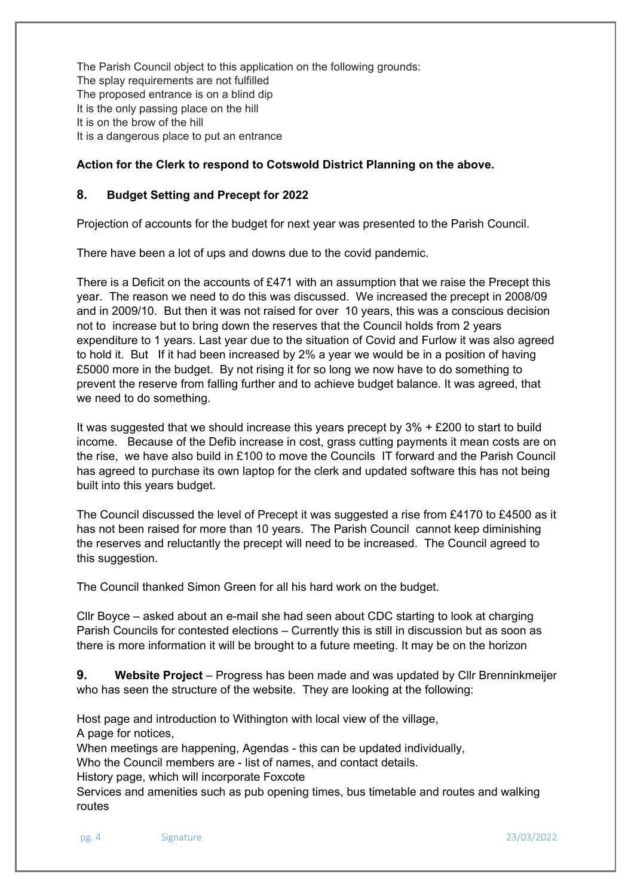The Parish Council object to this application on the following grounds: The splay requirements are not fulfilled The proposed entrance is on a blind dip It is the only passing place on the hill It is on the brow of the hill It is a dangerous place to put an entrance

## **Action for the Clerk to respond to Cotswold District Planning on the above.**

## **8. Budget Setting and Precept for 2022**

Projection of accounts for the budget for next year was presented to the Parish Council.

There have been a lot of ups and downs due to the covid pandemic.

There is a Deficit on the accounts of £471 with an assumption that we raise the Precept this year. The reason we need to do this was discussed. We increased the precept in 2008/09 and in 2009/10. But then it was not raised for over 10 years, this was a conscious decision not to increase but to bring down the reserves that the Council holds from 2 years expenditure to 1 years. Last year due to the situation of Covid and Furlow it was also agreed to hold it. But If it had been increased by 2% a year we would be in a position of having £5000 more in the budget. By not rising it for so long we now have to do something to prevent the reserve from falling further and to achieve budget balance. It was agreed, that we need to do something.

It was suggested that we should increase this years precept by 3% + £200 to start to build income. Because of the Defib increase in cost, grass cutting payments it mean costs are on the rise, we have also build in £100 to move the Councils IT forward and the Parish Council has agreed to purchase its own laptop for the clerk and updated software this has not being built into this years budget.

The Council discussed the level of Precept it was suggested a rise from £4170 to £4500 as it has not been raised for more than 10 years. The Parish Council cannot keep diminishing the reserves and reluctantly the precept will need to be increased. The Council agreed to this suggestion.

The Council thanked Simon Green for all his hard work on the budget.

Cllr Boyce – asked about an e-mail she had seen about CDC starting to look at charging Parish Councils for contested elections – Currently this is still in discussion but as soon as there is more information it will be brought to a future meeting. It may be on the horizon

**9. Website Project** – Progress has been made and was updated by Cllr Brenninkmeijer who has seen the structure of the website. They are looking at the following:

Host page and introduction to Withington with local view of the village,

A page for notices,

When meetings are happening, Agendas - this can be updated individually,

Who the Council members are - list of names, and contact details.

History page, which will incorporate Foxcote

Services and amenities such as pub opening times, bus timetable and routes and walking routes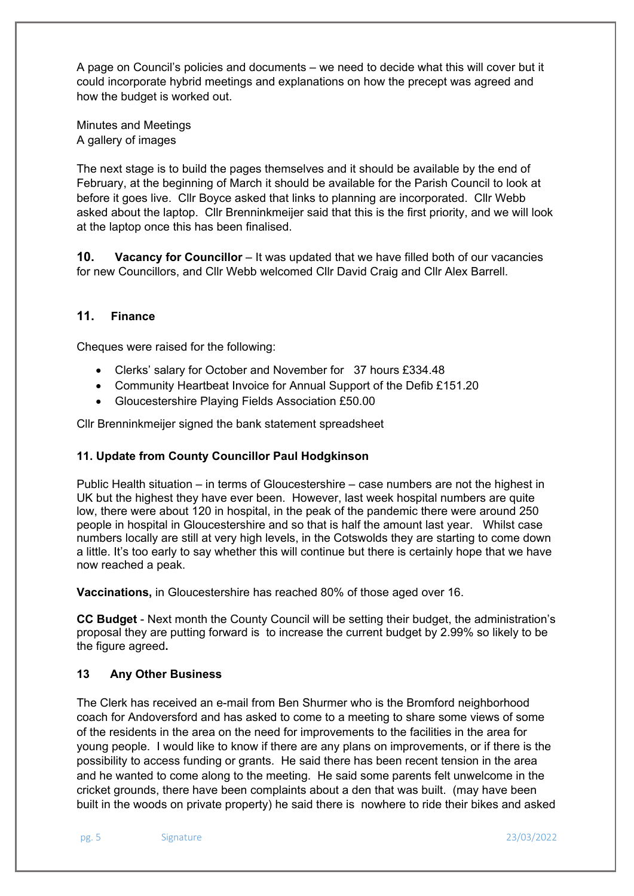A page on Council's policies and documents – we need to decide what this will cover but it could incorporate hybrid meetings and explanations on how the precept was agreed and how the budget is worked out.

Minutes and Meetings A gallery of images

The next stage is to build the pages themselves and it should be available by the end of February, at the beginning of March it should be available for the Parish Council to look at before it goes live. Cllr Boyce asked that links to planning are incorporated. Cllr Webb asked about the laptop. Cllr Brenninkmeijer said that this is the first priority, and we will look at the laptop once this has been finalised.

**10. Vacancy for Councillor** – It was updated that we have filled both of our vacancies for new Councillors, and Cllr Webb welcomed Cllr David Craig and Cllr Alex Barrell.

## **11. Finance**

Cheques were raised for the following:

- Clerks' salary for October and November for 37 hours £334.48
- Community Heartbeat Invoice for Annual Support of the Defib £151.20
- Gloucestershire Playing Fields Association £50.00

Cllr Brenninkmeijer signed the bank statement spreadsheet

## **11. Update from County Councillor Paul Hodgkinson**

Public Health situation – in terms of Gloucestershire – case numbers are not the highest in UK but the highest they have ever been. However, last week hospital numbers are quite low, there were about 120 in hospital, in the peak of the pandemic there were around 250 people in hospital in Gloucestershire and so that is half the amount last year. Whilst case numbers locally are still at very high levels, in the Cotswolds they are starting to come down a little. It's too early to say whether this will continue but there is certainly hope that we have now reached a peak.

**Vaccinations,** in Gloucestershire has reached 80% of those aged over 16.

**CC Budget** - Next month the County Council will be setting their budget, the administration's proposal they are putting forward is to increase the current budget by 2.99% so likely to be the figure agreed**.** 

#### **13 Any Other Business**

The Clerk has received an e-mail from Ben Shurmer who is the Bromford neighborhood coach for Andoversford and has asked to come to a meeting to share some views of some of the residents in the area on the need for improvements to the facilities in the area for young people. I would like to know if there are any plans on improvements, or if there is the possibility to access funding or grants. He said there has been recent tension in the area and he wanted to come along to the meeting. He said some parents felt unwelcome in the cricket grounds, there have been complaints about a den that was built. (may have been built in the woods on private property) he said there is nowhere to ride their bikes and asked